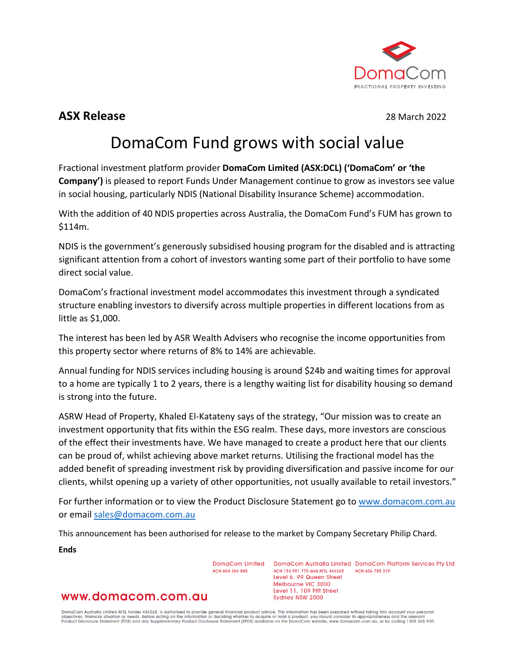

# **ASX Release** 28 March 2022

# DomaCom Fund grows with social value

Fractional investment platform provider **DomaCom Limited (ASX:DCL) ('DomaCom' or 'the Company')** is pleased to report Funds Under Management continue to grow as investors see value in social housing, particularly NDIS (National Disability Insurance Scheme) accommodation.

With the addition of 40 NDIS properties across Australia, the DomaCom Fund's FUM has grown to \$114m.

NDIS is the government's generously subsidised housing program for the disabled and is attracting significant attention from a cohort of investors wanting some part of their portfolio to have some direct social value.

DomaCom's fractional investment model accommodates this investment through a syndicated structure enabling investors to diversify across multiple properties in different locations from as little as \$1,000.

The interest has been led by ASR Wealth Advisers who recognise the income opportunities from this property sector where returns of 8% to 14% are achievable.

Annual funding for NDIS services including housing is around \$24b and waiting times for approval to a home are typically 1 to 2 years, there is a lengthy waiting list for disability housing so demand is strong into the future.

ASRW Head of Property, Khaled El-Katateny says of the strategy, "Our mission was to create an investment opportunity that fits within the ESG realm. These days, more investors are conscious of the effect their investments have. We have managed to create a product here that our clients can be proud of, whilst achieving above market returns. Utilising the fractional model has the added benefit of spreading investment risk by providing diversification and passive income for our clients, whilst opening up a variety of other opportunities, not usually available to retail investors."

For further information or to view the Product Disclosure Statement go to [www.domacom.com.au](http://www.domacom.com.au/) or emai[l sales@domacom.com.au](mailto:sales@domacom.com.au) 

This announcement has been authorised for release to the market by Company Secretary Philip Chard.

**Ends**

DomaCom Limited ACN 604 384 885

DomaCom Australia Limited DomaCom Platform Services Pty Ltd ACN 153 951 770 and AFSL 444365 ACN 606 755 319 Level 6, 99 Queen Street Melbourne VIC 3000 Level 11, 109 Pitt Street Sydney NSW 2000

# www.domacom.com.au

DomaCom Australia Limited AFSL holder 444365, is authorised to provide general financial product advice. This information has been prepared without taking into account your personal<br>objectives, financial situation or needs